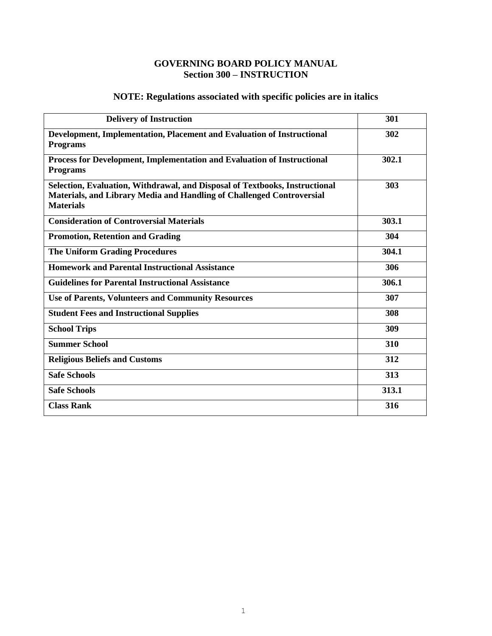## **GOVERNING BOARD POLICY MANUAL Section 300 – INSTRUCTION**

# **NOTE: Regulations associated with specific policies are in italics**

| <b>Delivery of Instruction</b>                                                                                                                                           | 301   |
|--------------------------------------------------------------------------------------------------------------------------------------------------------------------------|-------|
| Development, Implementation, Placement and Evaluation of Instructional<br><b>Programs</b>                                                                                | 302   |
| <b>Process for Development, Implementation and Evaluation of Instructional</b><br><b>Programs</b>                                                                        | 302.1 |
| Selection, Evaluation, Withdrawal, and Disposal of Textbooks, Instructional<br>Materials, and Library Media and Handling of Challenged Controversial<br><b>Materials</b> | 303   |
| <b>Consideration of Controversial Materials</b>                                                                                                                          | 303.1 |
| <b>Promotion, Retention and Grading</b>                                                                                                                                  | 304   |
| <b>The Uniform Grading Procedures</b>                                                                                                                                    | 304.1 |
| <b>Homework and Parental Instructional Assistance</b>                                                                                                                    | 306   |
| <b>Guidelines for Parental Instructional Assistance</b>                                                                                                                  | 306.1 |
| <b>Use of Parents, Volunteers and Community Resources</b>                                                                                                                | 307   |
| <b>Student Fees and Instructional Supplies</b>                                                                                                                           | 308   |
| <b>School Trips</b>                                                                                                                                                      | 309   |
| <b>Summer School</b>                                                                                                                                                     | 310   |
| <b>Religious Beliefs and Customs</b>                                                                                                                                     | 312   |
| <b>Safe Schools</b>                                                                                                                                                      | 313   |
| <b>Safe Schools</b>                                                                                                                                                      | 313.1 |
| <b>Class Rank</b>                                                                                                                                                        | 316   |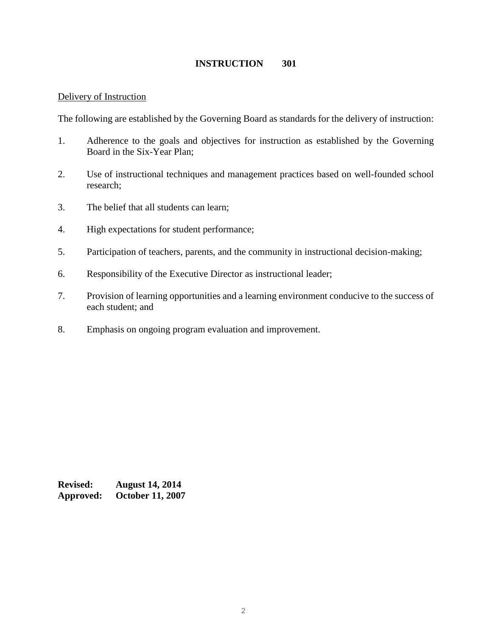## Delivery of Instruction

The following are established by the Governing Board as standards for the delivery of instruction:

- 1. Adherence to the goals and objectives for instruction as established by the Governing Board in the Six-Year Plan;
- 2. Use of instructional techniques and management practices based on well-founded school research;
- 3. The belief that all students can learn;
- 4. High expectations for student performance;
- 5. Participation of teachers, parents, and the community in instructional decision-making;
- 6. Responsibility of the Executive Director as instructional leader;
- 7. Provision of learning opportunities and a learning environment conducive to the success of each student; and
- 8. Emphasis on ongoing program evaluation and improvement.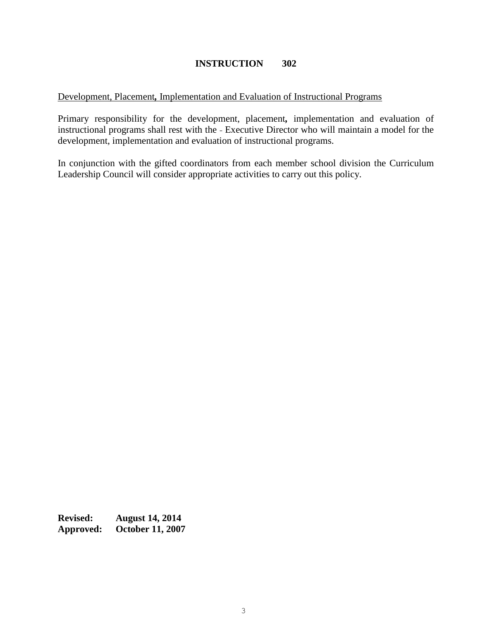Development, Placement*,* Implementation and Evaluation of Instructional Programs

Primary responsibility for the development, placement*,* implementation and evaluation of instructional programs shall rest with the Executive Director who will maintain a model for the development, implementation and evaluation of instructional programs.

In conjunction with the gifted coordinators from each member school division the Curriculum Leadership Council will consider appropriate activities to carry out this policy.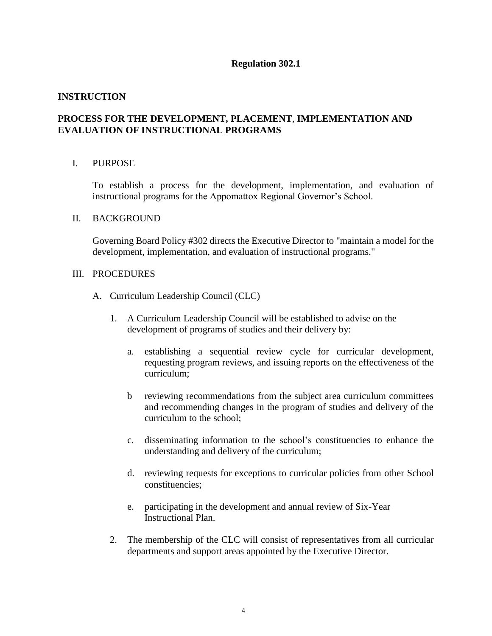## **Regulation 302.1**

## **INSTRUCTION**

## **PROCESS FOR THE DEVELOPMENT, PLACEMENT**, **IMPLEMENTATION AND EVALUATION OF INSTRUCTIONAL PROGRAMS**

#### I. PURPOSE

To establish a process for the development, implementation, and evaluation of instructional programs for the Appomattox Regional Governor's School.

#### II. BACKGROUND

Governing Board Policy #302 directs the Executive Director to "maintain a model for the development, implementation, and evaluation of instructional programs."

#### III. PROCEDURES

- A. Curriculum Leadership Council (CLC)
	- 1. A Curriculum Leadership Council will be established to advise on the development of programs of studies and their delivery by:
		- a. establishing a sequential review cycle for curricular development, requesting program reviews, and issuing reports on the effectiveness of the curriculum;
		- b reviewing recommendations from the subject area curriculum committees and recommending changes in the program of studies and delivery of the curriculum to the school;
		- c. disseminating information to the school's constituencies to enhance the understanding and delivery of the curriculum;
		- d. reviewing requests for exceptions to curricular policies from other School constituencies;
		- e. participating in the development and annual review of Six-Year Instructional Plan.
	- 2. The membership of the CLC will consist of representatives from all curricular departments and support areas appointed by the Executive Director.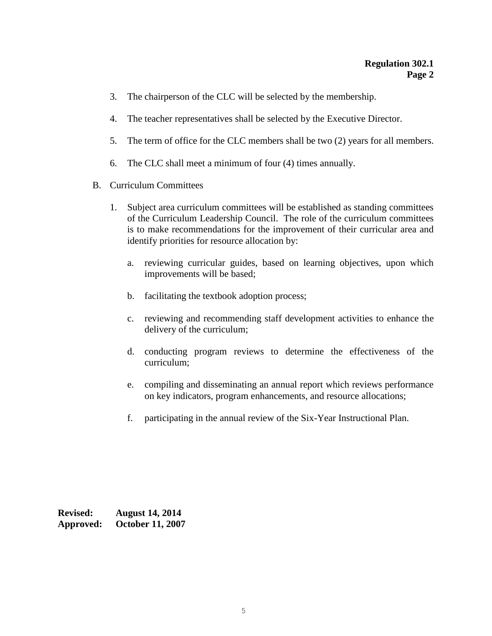- 3. The chairperson of the CLC will be selected by the membership.
- 4. The teacher representatives shall be selected by the Executive Director.
- 5. The term of office for the CLC members shall be two (2) years for all members.
- 6. The CLC shall meet a minimum of four (4) times annually.
- B. Curriculum Committees
	- 1. Subject area curriculum committees will be established as standing committees of the Curriculum Leadership Council. The role of the curriculum committees is to make recommendations for the improvement of their curricular area and identify priorities for resource allocation by:
		- a. reviewing curricular guides, based on learning objectives, upon which improvements will be based;
		- b. facilitating the textbook adoption process;
		- c. reviewing and recommending staff development activities to enhance the delivery of the curriculum;
		- d. conducting program reviews to determine the effectiveness of the curriculum;
		- e. compiling and disseminating an annual report which reviews performance on key indicators, program enhancements, and resource allocations;
		- f. participating in the annual review of the Six-Year Instructional Plan.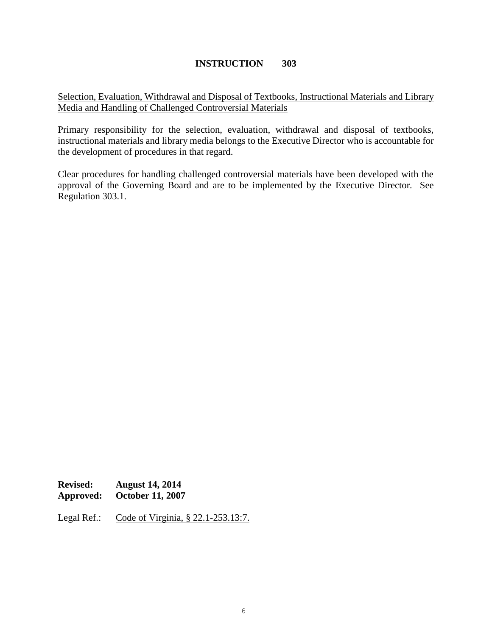Selection, Evaluation, Withdrawal and Disposal of Textbooks, Instructional Materials and Library Media and Handling of Challenged Controversial Materials

Primary responsibility for the selection, evaluation, withdrawal and disposal of textbooks, instructional materials and library media belongs to the Executive Director who is accountable for the development of procedures in that regard.

Clear procedures for handling challenged controversial materials have been developed with the approval of the Governing Board and are to be implemented by the Executive Director*.* See Regulation 303.1.

**Revised: August 14, 2014 Approved: October 11, 2007**

Legal Ref.: Code of Virginia, § 22.1-253.13:7.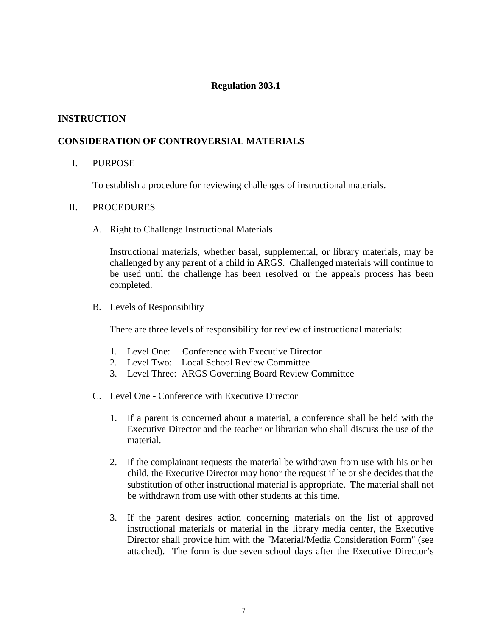## **Regulation 303.1**

## **INSTRUCTION**

## **CONSIDERATION OF CONTROVERSIAL MATERIALS**

I. PURPOSE

To establish a procedure for reviewing challenges of instructional materials.

#### II. PROCEDURES

A. Right to Challenge Instructional Materials

Instructional materials, whether basal, supplemental, or library materials, may be challenged by any parent of a child in ARGS. Challenged materials will continue to be used until the challenge has been resolved or the appeals process has been completed.

B. Levels of Responsibility

There are three levels of responsibility for review of instructional materials:

- 1. Level One: Conference with Executive Director
- 2. Level Two: Local School Review Committee
- 3. Level Three: ARGS Governing Board Review Committee
- C. Level One Conference with Executive Director
	- 1. If a parent is concerned about a material, a conference shall be held with the Executive Director and the teacher or librarian who shall discuss the use of the material.
	- 2. If the complainant requests the material be withdrawn from use with his or her child, the Executive Director may honor the request if he or she decides that the substitution of other instructional material is appropriate. The material shall not be withdrawn from use with other students at this time.
	- 3. If the parent desires action concerning materials on the list of approved instructional materials or material in the library media center, the Executive Director shall provide him with the "Material/Media Consideration Form" (see attached). The form is due seven school days after the Executive Director's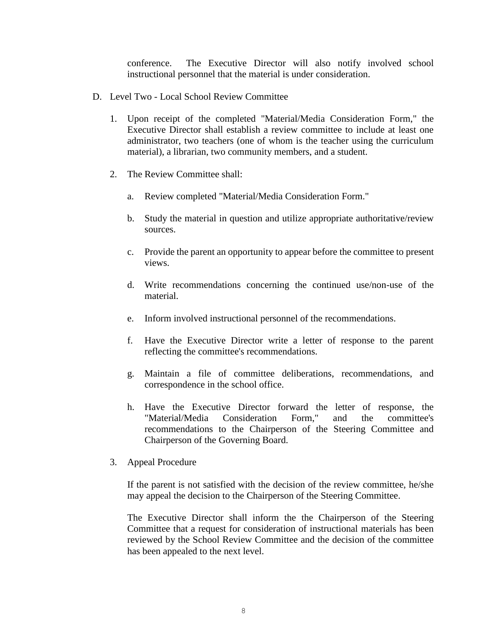conference. The Executive Director will also notify involved school instructional personnel that the material is under consideration.

- D. Level Two Local School Review Committee
	- 1. Upon receipt of the completed "Material/Media Consideration Form," the Executive Director shall establish a review committee to include at least one administrator, two teachers (one of whom is the teacher using the curriculum material), a librarian, two community members, and a student.
	- 2. The Review Committee shall:
		- a. Review completed "Material/Media Consideration Form."
		- b. Study the material in question and utilize appropriate authoritative/review sources.
		- c. Provide the parent an opportunity to appear before the committee to present views.
		- d. Write recommendations concerning the continued use/non-use of the material.
		- e. Inform involved instructional personnel of the recommendations.
		- f. Have the Executive Director write a letter of response to the parent reflecting the committee's recommendations.
		- g. Maintain a file of committee deliberations, recommendations, and correspondence in the school office.
		- h. Have the Executive Director forward the letter of response, the "Material/Media Consideration Form," and the committee's recommendations to the Chairperson of the Steering Committee and Chairperson of the Governing Board.
	- 3. Appeal Procedure

If the parent is not satisfied with the decision of the review committee, he/she may appeal the decision to the Chairperson of the Steering Committee.

The Executive Director shall inform the the Chairperson of the Steering Committee that a request for consideration of instructional materials has been reviewed by the School Review Committee and the decision of the committee has been appealed to the next level.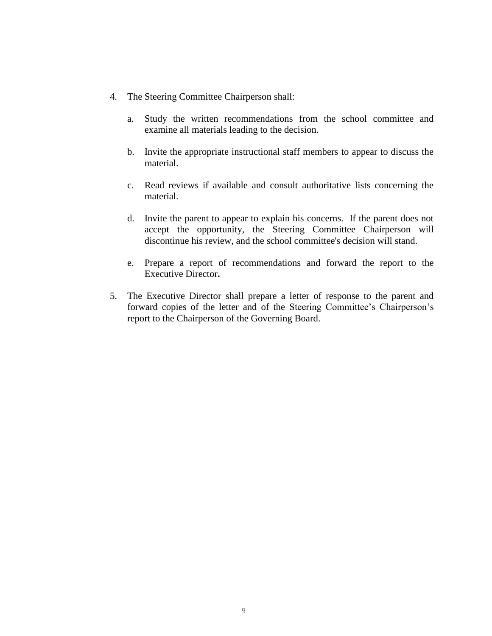- 4. The Steering Committee Chairperson shall:
	- a. Study the written recommendations from the school committee and examine all materials leading to the decision.
	- b. Invite the appropriate instructional staff members to appear to discuss the material.
	- c. Read reviews if available and consult authoritative lists concerning the material.
	- d. Invite the parent to appear to explain his concerns. If the parent does not accept the opportunity, the Steering Committee Chairperson will discontinue his review, and the school committee's decision will stand.
	- e. Prepare a report of recommendations and forward the report to the Executive Director**.**
- 5. The Executive Director shall prepare a letter of response to the parent and forward copies of the letter and of the Steering Committee's Chairperson's report to the Chairperson of the Governing Board.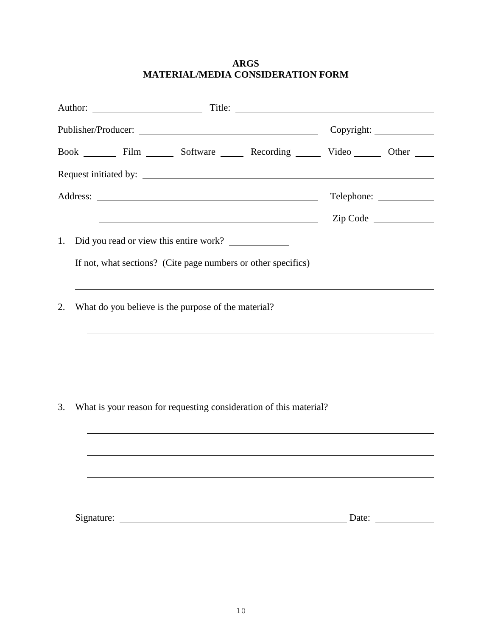## **ARGS MATERIAL/MEDIA CONSIDERATION FORM**

|    |                                                                    |  |                                                     | $Copyright: \_\_$                                                                            |          |
|----|--------------------------------------------------------------------|--|-----------------------------------------------------|----------------------------------------------------------------------------------------------|----------|
|    |                                                                    |  |                                                     | Book ________ Film ________ Software ________ Recording ________ Video ________ Other ______ |          |
|    |                                                                    |  |                                                     |                                                                                              |          |
|    |                                                                    |  |                                                     |                                                                                              |          |
|    |                                                                    |  |                                                     |                                                                                              | Zip Code |
| 1. |                                                                    |  | Did you read or view this entire work?              |                                                                                              |          |
|    |                                                                    |  |                                                     | If not, what sections? (Cite page numbers or other specifics)                                |          |
|    |                                                                    |  |                                                     | ,我们也不会有一个人的人,我们也不会有一个人的人,我们也不会有一个人的人。""我们,我们也不会有一个人的人,我们也不会有一个人的人,我们也不会有一个人的人,我们             |          |
| 2. |                                                                    |  | What do you believe is the purpose of the material? |                                                                                              |          |
|    |                                                                    |  |                                                     |                                                                                              |          |
|    |                                                                    |  |                                                     |                                                                                              |          |
|    |                                                                    |  |                                                     |                                                                                              |          |
|    |                                                                    |  |                                                     |                                                                                              |          |
| 3. | What is your reason for requesting consideration of this material? |  |                                                     |                                                                                              |          |
|    |                                                                    |  |                                                     |                                                                                              |          |
|    |                                                                    |  |                                                     |                                                                                              |          |
|    |                                                                    |  |                                                     |                                                                                              |          |
|    |                                                                    |  |                                                     |                                                                                              |          |
|    |                                                                    |  |                                                     |                                                                                              | Date:    |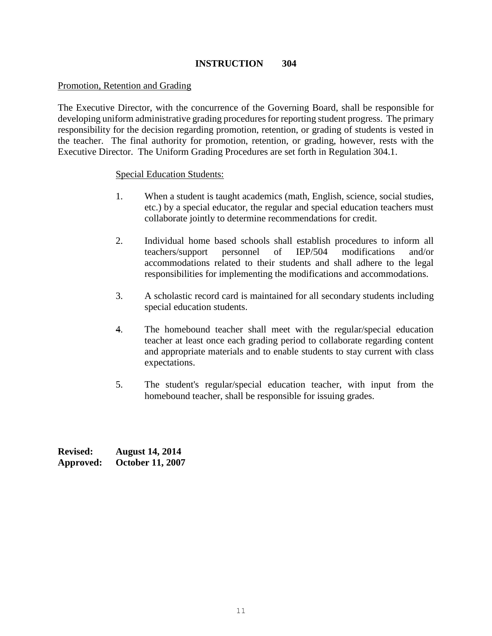#### Promotion, Retention and Grading

The Executive Director, with the concurrence of the Governing Board, shall be responsible for developing uniform administrative grading procedures for reporting student progress. The primary responsibility for the decision regarding promotion, retention, or grading of students is vested in the teacher. The final authority for promotion, retention, or grading, however, rests with the Executive Director. The Uniform Grading Procedures are set forth in Regulation 304.1.

#### Special Education Students:

- 1. When a student is taught academics (math, English, science, social studies, etc.) by a special educator, the regular and special education teachers must collaborate jointly to determine recommendations for credit.
- 2. Individual home based schools shall establish procedures to inform all teachers/support personnel of IEP/504 modifications and/or accommodations related to their students and shall adhere to the legal responsibilities for implementing the modifications and accommodations.
- 3. A scholastic record card is maintained for all secondary students including special education students.
- 4. The homebound teacher shall meet with the regular/special education teacher at least once each grading period to collaborate regarding content and appropriate materials and to enable students to stay current with class expectations.
- 5. The student's regular/special education teacher, with input from the homebound teacher, shall be responsible for issuing grades.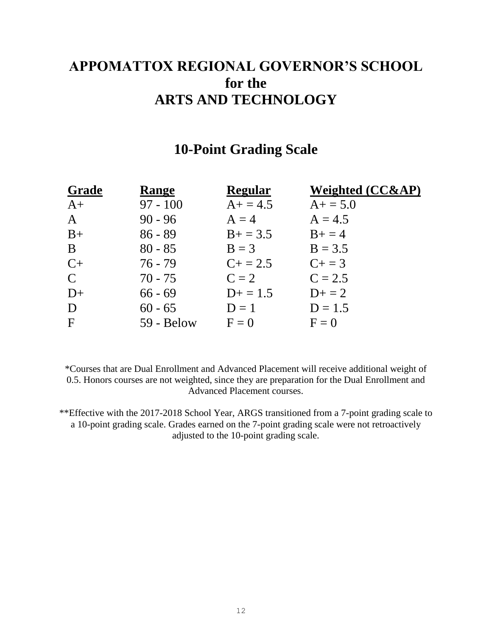# **APPOMATTOX REGIONAL GOVERNOR'S SCHOOL for the ARTS AND TECHNOLOGY**

# **10-Point Grading Scale**

| Grade         | Range      | <b>Regular</b> | <b>Weighted (CC&amp;AP)</b> |
|---------------|------------|----------------|-----------------------------|
| $A+$          | $97 - 100$ | $A+ = 4.5$     | $A+=5.0$                    |
| $\mathbf{A}$  | $90 - 96$  | $A = 4$        | $A = 4.5$                   |
| $B+$          | $86 - 89$  | $B+ = 3.5$     | $B+ = 4$                    |
| B             | $80 - 85$  | $B = 3$        | $B = 3.5$                   |
| $C+$          | $76 - 79$  | $C_{+} = 2.5$  | $C_{+} = 3$                 |
| $\mathcal{C}$ | $70 - 75$  | $C = 2$        | $C = 2.5$                   |
| $D+$          | $66 - 69$  | $D+ = 1.5$     | $D+ = 2$                    |
| D             | $60 - 65$  | $D=1$          | $D = 1.5$                   |
| $\mathbf{F}$  | 59 - Below | $F = 0$        | $F = 0$                     |

\*Courses that are Dual Enrollment and Advanced Placement will receive additional weight of 0.5. Honors courses are not weighted, since they are preparation for the Dual Enrollment and Advanced Placement courses.

\*\*Effective with the 2017-2018 School Year, ARGS transitioned from a 7-point grading scale to a 10-point grading scale. Grades earned on the 7-point grading scale were not retroactively adjusted to the 10-point grading scale.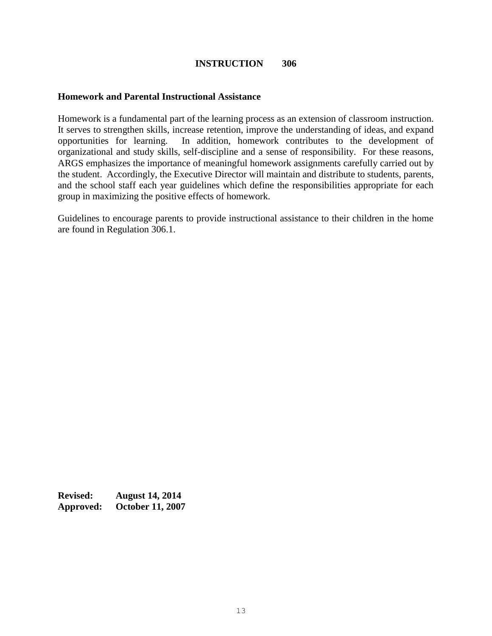#### **Homework and Parental Instructional Assistance**

Homework is a fundamental part of the learning process as an extension of classroom instruction. It serves to strengthen skills, increase retention, improve the understanding of ideas, and expand opportunities for learning. In addition, homework contributes to the development of organizational and study skills, self-discipline and a sense of responsibility. For these reasons, ARGS emphasizes the importance of meaningful homework assignments carefully carried out by the student. Accordingly, the Executive Director will maintain and distribute to students, parents*,* and the school staff each year guidelines which define the responsibilities appropriate for each group in maximizing the positive effects of homework.

Guidelines to encourage parents to provide instructional assistance to their children in the home are found in Regulation 306.1.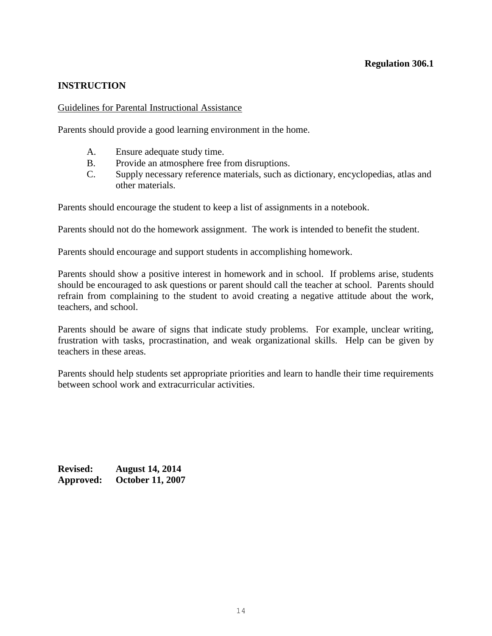#### Guidelines for Parental Instructional Assistance

Parents should provide a good learning environment in the home.

- A. Ensure adequate study time.
- B. Provide an atmosphere free from disruptions.
- C. Supply necessary reference materials, such as dictionary, encyclopedias, atlas and other materials.

Parents should encourage the student to keep a list of assignments in a notebook.

Parents should not do the homework assignment. The work is intended to benefit the student.

Parents should encourage and support students in accomplishing homework.

Parents should show a positive interest in homework and in school. If problems arise, students should be encouraged to ask questions or parent should call the teacher at school. Parents should refrain from complaining to the student to avoid creating a negative attitude about the work, teachers*,* and school.

Parents should be aware of signs that indicate study problems. For example, unclear writing, frustration with tasks, procrastination*,* and weak organizational skills. Help can be given by teachers in these areas.

Parents should help students set appropriate priorities and learn to handle their time requirements between school work and extracurricular activities.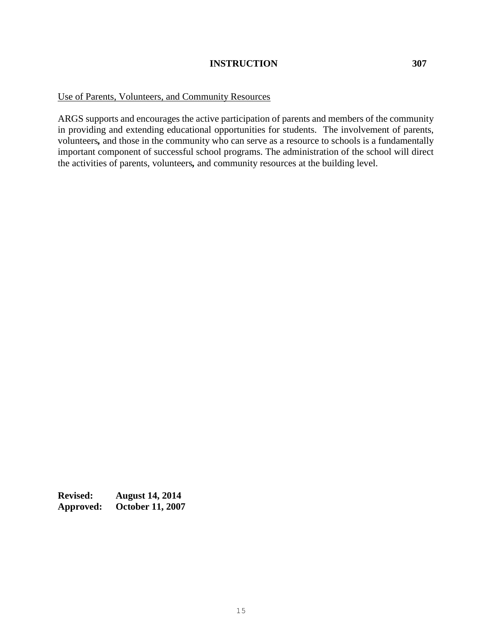## Use of Parents, Volunteers, and Community Resources

ARGS supports and encourages the active participation of parents and members of the community in providing and extending educational opportunities for students. The involvement of parents, volunteers*,* and those in the community who can serve as a resource to schools is a fundamentally important component of successful school programs. The administration of the school will direct the activities of parents, volunteers*,* and community resources at the building level.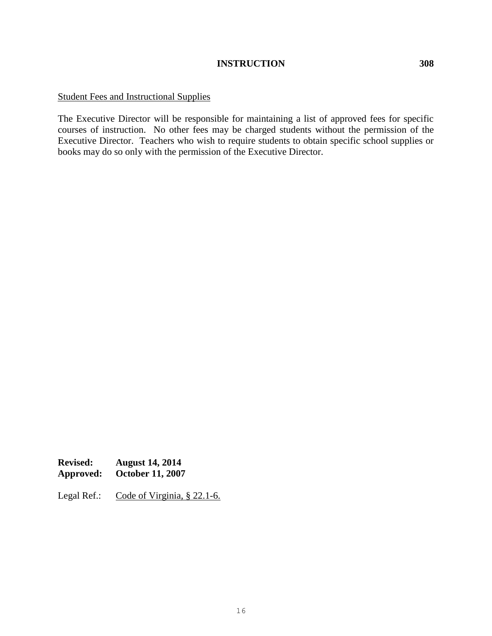## Student Fees and Instructional Supplies

The Executive Director will be responsible for maintaining a list of approved fees for specific courses of instruction. No other fees may be charged students without the permission of the Executive Director. Teachers who wish to require students to obtain specific school supplies or books may do so only with the permission of the Executive Director.

**Revised: August 14, 2014 Approved: October 11, 2007**

Legal Ref.: Code of Virginia, § 22.1-6.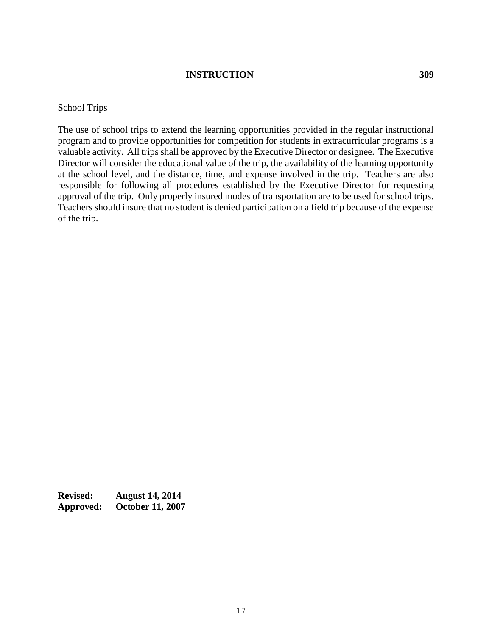#### School Trips

The use of school trips to extend the learning opportunities provided in the regular instructional program and to provide opportunities for competition for students in extracurricular programs is a valuable activity. All trips shall be approved by the Executive Director or designee. The Executive Director will consider the educational value of the trip, the availability of the learning opportunity at the school level, and the distance, time*,* and expense involved in the trip. Teachers are also responsible for following all procedures established by the Executive Director for requesting approval of the trip. Only properly insured modes of transportation are to be used for school trips. Teachers should insure that no student is denied participation on a field trip because of the expense of the trip.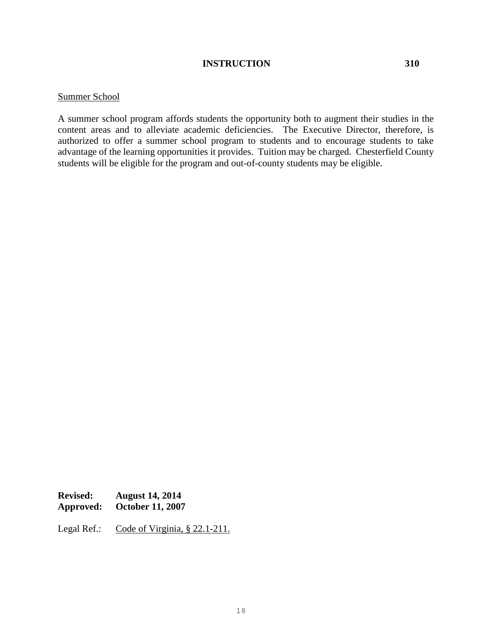#### Summer School

A summer school program affords students the opportunity both to augment their studies in the content areas and to alleviate academic deficiencies. The Executive Director, therefore, is authorized to offer a summer school program to students and to encourage students to take advantage of the learning opportunities it provides. Tuition may be charged. Chesterfield County students will be eligible for the program and out-of-county students may be eligible.

**Revised: August 14, 2014 Approved: October 11, 2007**

Legal Ref.: Code of Virginia, § 22.1-211.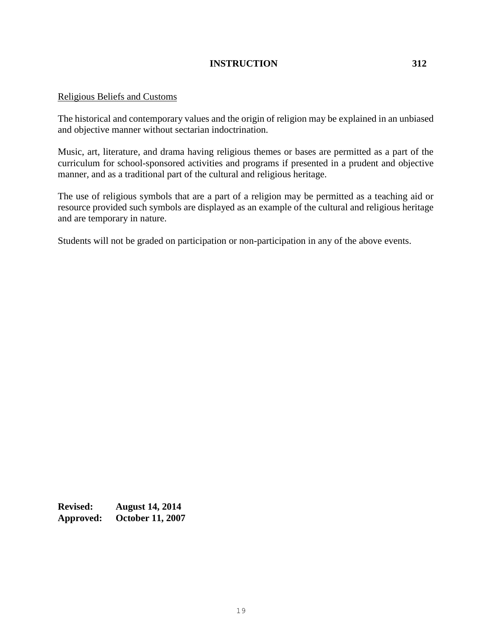#### Religious Beliefs and Customs

The historical and contemporary values and the origin of religion may be explained in an unbiased and objective manner without sectarian indoctrination.

Music, art, literature*,* and drama having religious themes or bases are permitted as a part of the curriculum for school-sponsored activities and programs if presented in a prudent and objective manner*,* and as a traditional part of the cultural and religious heritage.

The use of religious symbols that are a part of a religion may be permitted as a teaching aid or resource provided such symbols are displayed as an example of the cultural and religious heritage and are temporary in nature.

Students will not be graded on participation or non-participation in any of the above events.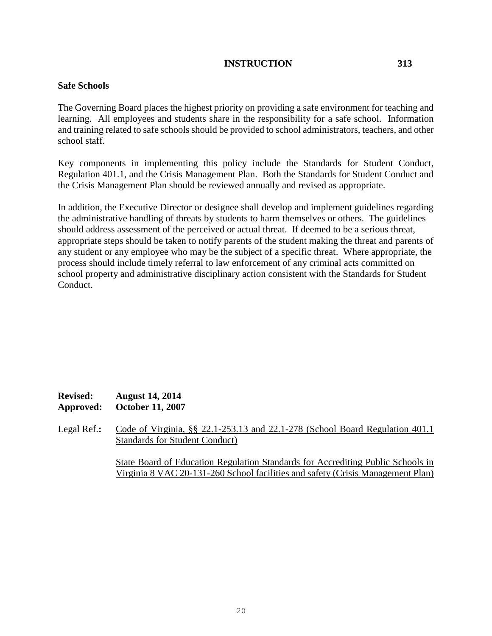#### **Safe Schools**

The Governing Board places the highest priority on providing a safe environment for teaching and learning. All employees and students share in the responsibility for a safe school. Information and training related to safe schools should be provided to school administrators, teachers*,* and other school staff.

Key components in implementing this policy include the Standards for Student Conduct, Regulation 401.1, and the Crisis Management Plan. Both the Standards for Student Conduct and the Crisis Management Plan should be reviewed annually and revised as appropriate.

In addition, the Executive Director or designee shall develop and implement guidelines regarding the administrative handling of threats by students to harm themselves or others. The guidelines should address assessment of the perceived or actual threat. If deemed to be a serious threat, appropriate steps should be taken to notify parents of the student making the threat and parents of any student or any employee who may be the subject of a specific threat. Where appropriate, the process should include timely referral to law enforcement of any criminal acts committed on school property and administrative disciplinary action consistent with the Standards for Student Conduct.

#### **Revised: August 14, 2014 Approved: October 11, 2007**

Legal Ref.**:** Code of Virginia, §§ 22.1-253.13 and 22.1-278 (School Board Regulation 401.1 Standards for Student Conduct)

> State Board of Education Regulation Standards for Accrediting Public Schools in Virginia 8 VAC 20-131-260 School facilities and safety (Crisis Management Plan)

20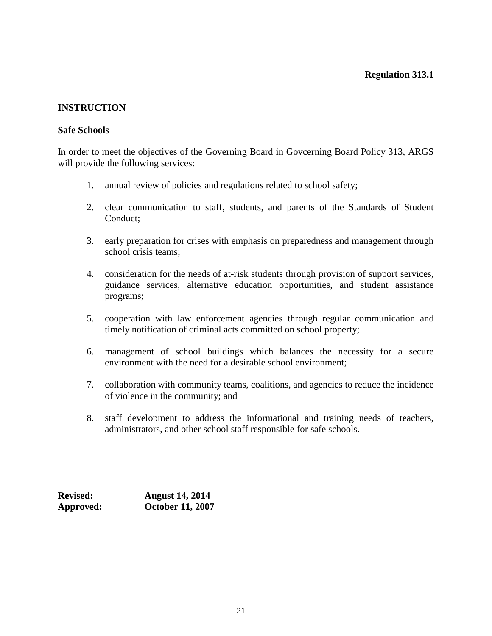#### **Safe Schools**

In order to meet the objectives of the Governing Board in Govcerning Board Policy 313, ARGS will provide the following services:

- 1. annual review of policies and regulations related to school safety;
- 2. clear communication to staff, students, and parents of the Standards of Student Conduct;
- 3. early preparation for crises with emphasis on preparedness and management through school crisis teams;
- 4. consideration for the needs of at-risk students through provision of support services, guidance services, alternative education opportunities, and student assistance programs;
- 5. cooperation with law enforcement agencies through regular communication and timely notification of criminal acts committed on school property;
- 6. management of school buildings which balances the necessity for a secure environment with the need for a desirable school environment;
- 7. collaboration with community teams, coalitions, and agencies to reduce the incidence of violence in the community; and
- 8. staff development to address the informational and training needs of teachers, administrators, and other school staff responsible for safe schools.

| <b>Revised:</b>  | <b>August 14, 2014</b>  |
|------------------|-------------------------|
| <b>Approved:</b> | <b>October 11, 2007</b> |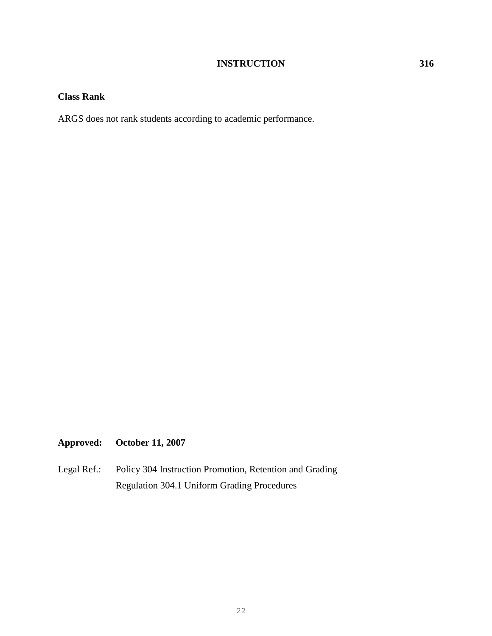## **Class Rank**

ARGS does not rank students according to academic performance.

# **Approved: October 11, 2007**

Legal Ref.: Policy 304 Instruction Promotion, Retention and Grading Regulation 304.1 Uniform Grading Procedures